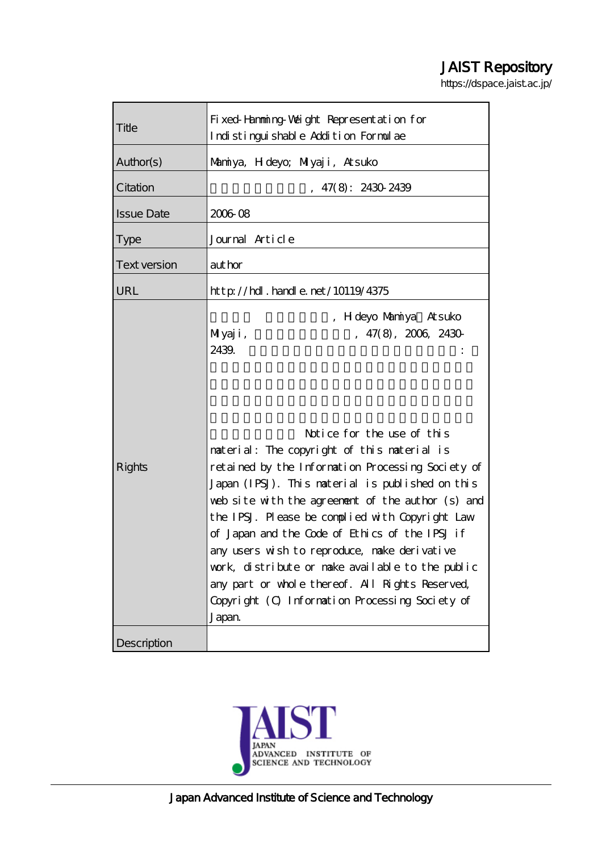# JAIST Repository

https://dspace.jaist.ac.jp/

| Title               | Fixed Hamming Waight Representation for<br>Indistinguishable Addition Formulae                                                                                                                                                                                                                                                                                                                                                                                                                                                                                                                                                        |
|---------------------|---------------------------------------------------------------------------------------------------------------------------------------------------------------------------------------------------------------------------------------------------------------------------------------------------------------------------------------------------------------------------------------------------------------------------------------------------------------------------------------------------------------------------------------------------------------------------------------------------------------------------------------|
| Author(s)           | Marniya, H deyo; Milyaji, Atsuko                                                                                                                                                                                                                                                                                                                                                                                                                                                                                                                                                                                                      |
| Citation            | 47(8): 2430 2439                                                                                                                                                                                                                                                                                                                                                                                                                                                                                                                                                                                                                      |
| <b>Issue Date</b>   | 2006 08                                                                                                                                                                                                                                                                                                                                                                                                                                                                                                                                                                                                                               |
| <b>Type</b>         | Journal Article                                                                                                                                                                                                                                                                                                                                                                                                                                                                                                                                                                                                                       |
| <b>Text version</b> | author                                                                                                                                                                                                                                                                                                                                                                                                                                                                                                                                                                                                                                |
| URL                 | $http$ // $hdl$ . handle. net/10119/4375                                                                                                                                                                                                                                                                                                                                                                                                                                                                                                                                                                                              |
| <b>Rights</b>       | , H deyo Marniya Atsuko<br>, 47(8), 2006, 2430<br>Miyaji,<br>2439.<br>Notice for the use of this<br>naterial: The copyright of this naterial is<br>retained by the Information Processing Society of<br>Japan (IPSJ). This material is published on this<br>web site with the agreement of the author (s) and<br>the IPSJ. Please be complied with Copyright Law<br>of Japan and the Code of Ethics of the IPSJ if<br>any users wish to reproduce, nake derivative<br>work, distribute or make available to the public<br>any part or whole thereof. All Rights Reserved,<br>Copyright (C) Information Processing Society of<br>Japan |
| Description         |                                                                                                                                                                                                                                                                                                                                                                                                                                                                                                                                                                                                                                       |

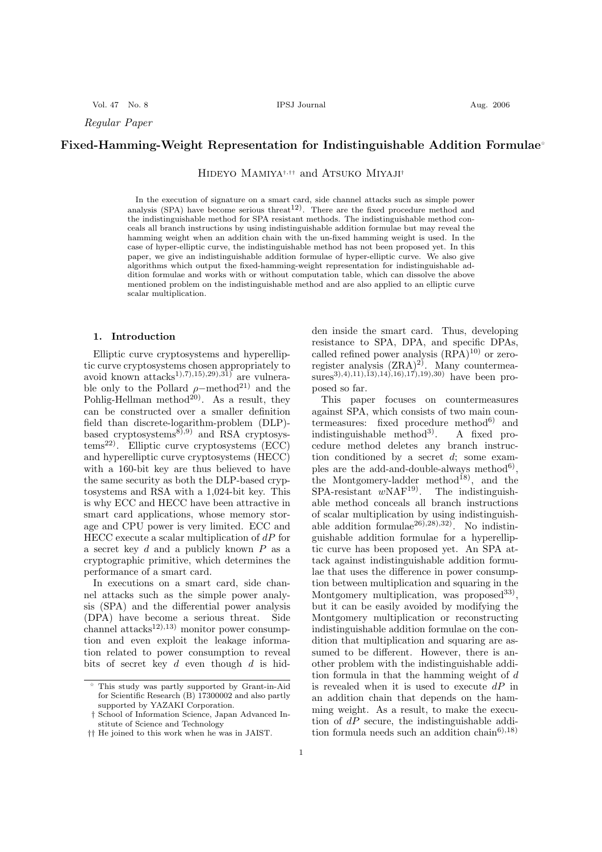Vol. 47 No. 8 IPSJ Journal Aug. 2006

Regular Paper

## Fixed-Hamming-Weight Representation for Indistinguishable Addition Formulae

Hideyo Mamiya†,†† and Atsuko Miyaji†

In the execution of signature on a smart card, side channel attacks such as simple power analysis (SPA) have become serious threat<sup>12</sup>). There are the fixed procedure method and the indistinguishable method for SPA resistant methods. The indistinguishable method conceals all branch instructions by using indistinguishable addition formulae but may reveal the hamming weight when an addition chain with the un-fixed hamming weight is used. In the case of hyper-elliptic curve, the indistinguishable method has not been proposed yet. In this paper, we give an indistinguishable addition formulae of hyper-elliptic curve. We also give algorithms which output the fixed-hamming-weight representation for indistinguishable addition formulae and works with or without computation table, which can dissolve the above mentioned problem on the indistinguishable method and are also applied to an elliptic curve scalar multiplication.

#### 1. Introduction

Elliptic curve cryptosystems and hyperelliptic curve cryptosystems chosen appropriately to avoid known  $\text{attacks}^{1},7,15,29,31$  are vulnerable only to the Pollard  $\rho$ -method<sup>21)</sup> and the Pohlig-Hellman method<sup>20</sup>. As a result, they can be constructed over a smaller definition field than discrete-logarithm-problem (DLP) based cryptosystems<sup>8),9)</sup> and RSA cryptosys $tems^{22}$ . Elliptic curve cryptosystems (ECC) and hyperelliptic curve cryptosystems (HECC) with a 160-bit key are thus believed to have the same security as both the DLP-based cryptosystems and RSA with a 1,024-bit key. This is why ECC and HECC have been attractive in smart card applications, whose memory storage and CPU power is very limited. ECC and HECC execute a scalar multiplication of  $dP$  for a secret key  $d$  and a publicly known  $P$  as a cryptographic primitive, which determines the performance of a smart card.

In executions on a smart card, side channel attacks such as the simple power analysis (SPA) and the differential power analysis (DPA) have become a serious threat. Side channel attacks<sup>12),13)</sup> monitor power consumption and even exploit the leakage information related to power consumption to reveal bits of secret key  $d$  even though  $d$  is hid-

den inside the smart card. Thus, developing resistance to SPA, DPA, and specific DPAs, called refined power analysis  $(RPA)^{10}$  or zeroregister analysis  $(ZRA)^{2}$ . Many countermeasures<sup>3</sup>),4),11),13),14),16),17),19),30) have been proposed so far.

This paper focuses on countermeasures against SPA, which consists of two main countermeasures: fixed procedure method<sup>6)</sup> and indistinguishable method<sup>3)</sup>. A fixed procedure method deletes any branch instruction conditioned by a secret d; some examples are the add-and-double-always method<sup>6</sup>), the Montgomery-ladder method<sup>18)</sup>, and the  $SPA-resistant$   $wNAF<sup>19</sup>$ . The indistinguishable method conceals all branch instructions of scalar multiplication by using indistinguishable addition formulae<sup>26),28</sup>),32). No indistinguishable addition formulae for a hyperelliptic curve has been proposed yet. An SPA attack against indistinguishable addition formulae that uses the difference in power consumption between multiplication and squaring in the Montgomery multiplication, was proposed<sup>33)</sup>, but it can be easily avoided by modifying the Montgomery multiplication or reconstructing indistinguishable addition formulae on the condition that multiplication and squaring are assumed to be different. However, there is another problem with the indistinguishable addition formula in that the hamming weight of d is revealed when it is used to execute  $dP$  in an addition chain that depends on the hamming weight. As a result, to make the execution of  $dP$  secure, the indistinguishable addition formula needs such an addition chain<sup>6),18)</sup>

This study was partly supported by Grant-in-Aid for Scientific Research (B) 17300002 and also partly supported by YAZAKI Corporation.

<sup>†</sup> School of Information Science, Japan Advanced Institute of Science and Technology

<sup>††</sup> He joined to this work when he was in JAIST.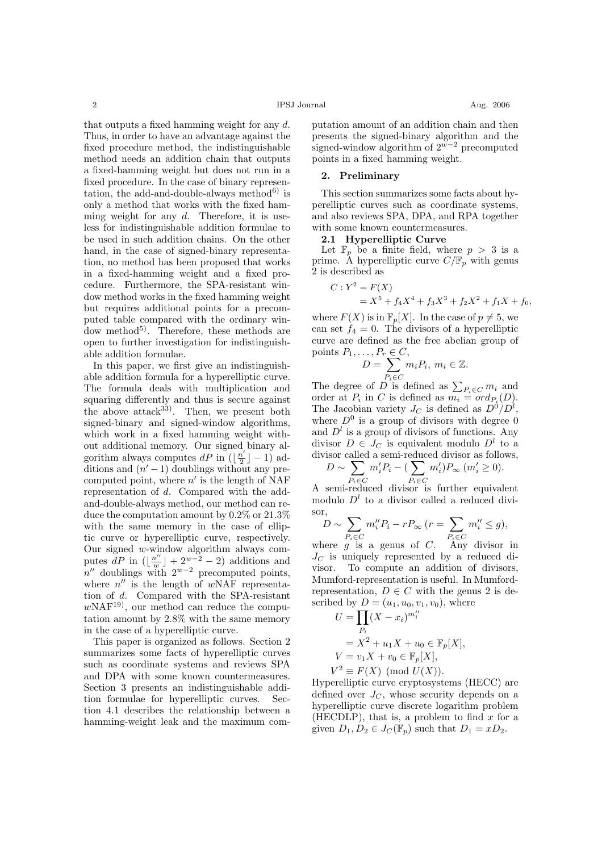that outputs a fixed hamming weight for any d. Thus, in order to have an advantage against the fixed procedure method, the indistinguishable method needs an addition chain that outputs a fixed-hamming weight but does not run in a fixed procedure. In the case of binary representation, the add-and-double-always method $^{6)}$  is only a method that works with the fixed hamming weight for any  $d$ . Therefore, it is useless for indistinguishable addition formulae to be used in such addition chains. On the other hand, in the case of signed-binary representation, no method has been proposed that works in a fixed-hamming weight and a fixed procedure. Furthermore, the SPA-resistant window method works in the fixed hamming weight but requires additional points for a precomputed table compared with the ordinary window method<sup>5)</sup>. Therefore, these methods are open to further investigation for indistinguishable addition formulae.

In this paper, we first give an indistinguishable addition formula for a hyperelliptic curve. The formula deals with multiplication and squaring differently and thus is secure against the above attack  $33$ . Then, we present both signed-binary and signed-window algorithms, which work in a fixed hamming weight without additional memory. Our signed binary algorithm always computes dP in  $(\frac{n}{2})$  $\frac{i'}{2}$ ] – 1) additions and  $(n' - 1)$  doublings without any precomputed point, where  $n'$  is the length of NAF representation of d. Compared with the addand-double-always method, our method can reduce the computation amount by 0.2% or 21.3% with the same memory in the case of elliptic curve or hyperelliptic curve, respectively. Our signed w-window algorithm always computes  $\overline{d}P$  in  $\left(\left|\frac{n''}{m}\right|\right)$  $\frac{u''}{w}$  + 2<sup>w-2</sup> - 2) additions and  $n''$  doublings with  $2^{w-2}$  precomputed points, where  $n''$  is the length of  $wNAF$  representation of d. Compared with the SPA-resistant  $wNAF^{19}$ , our method can reduce the computation amount by 2.8% with the same memory in the case of a hyperelliptic curve.

This paper is organized as follows. Section 2 summarizes some facts of hyperelliptic curves such as coordinate systems and reviews SPA and DPA with some known countermeasures. Section 3 presents an indistinguishable addition formulae for hyperelliptic curves. Section 4.1 describes the relationship between a hamming-weight leak and the maximum com-

putation amount of an addition chain and then presents the signed-binary algorithm and the signed-window algorithm of  $2^{w-2}$  precomputed points in a fixed hamming weight.

#### 2. Preliminary

This section summarizes some facts about hyperelliptic curves such as coordinate systems, and also reviews SPA, DPA, and RPA together with some known countermeasures.

## 2.1 Hyperelliptic Curve

Let  $\mathbb{F}_p$  be a finite field, where  $p > 3$  is a prime. A hyperelliptic curve  $C/\mathbb{F}_p$  with genus 2 is described as

$$
C: Y^2 = F(X)
$$
  
=  $X^5 + f_4X^4 + f_3X^3 + f_2X^2 + f_1X + f_0,$ 

where  $F(X)$  is in  $\mathbb{F}_p[X]$ . In the case of  $p \neq 5$ , we can set  $f_4 = 0$ . The divisors of a hyperelliptic curve are defined as the free abelian group of points  $P_1$ .  $P_r \in C$ 

$$
D = \sum_{P_i \in C} m_i P_i, \ m_i \in \mathbb{Z}.
$$

The degree of  $D$  is defined as  $\sum_{P_i \in C} m_i$  and order at  $P_i$  in C is defined as  $m_i = ord_{P_i}(D)$ . The Jacobian variety  $J_C$  is defined as  $D^0/D^l$ , where  $D^0$  is a group of divisors with degree 0 and  $D^l$  is a group of divisors of functions. Any divisor  $D \in J_C$  is equivalent modulo  $D^l$  to a divisor called a semi-reduced divisor as follows,

$$
D \sim \sum_{P_i \in C} m'_i P_i - (\sum_{P_i \in C} m'_i) P_{\infty} (m'_i \ge 0).
$$

 $P_i \in C$ <br>A semi-reduced divisor is further equivalent modulo  $D<sup>l</sup>$  to a divisor called a reduced divisor  $\overline{\phantom{a}}$  $\overline{\phantom{a}}$ 

$$
D \sim \sum_{P_i \in C} m_i'' P_i - r P_{\infty} \ (r = \sum_{P_i \in C} m_i'' \le g),
$$

where g is a genus of C. Any divisor in  $J<sub>C</sub>$  is uniquely represented by a reduced divisor. To compute an addition of divisors, Mumford-representation is useful. In Mumfordrepresentation,  $D \in C$  with the genus 2 is described by  $D = (u_1, u_0, v_1, v_0)$ , where

$$
U = \prod_{P_i} (X - x_i)^{m_i''}
$$
  
=  $X^2 + u_1 X + u_0 \in \mathbb{F}_p[X],$   

$$
V = v_1 X + v_0 \in \mathbb{F}_p[X],
$$
  

$$
V^2 \equiv F(X) \pmod{U(X)}.
$$

Hyperelliptic curve cryptosystems (HECC) are defined over  $J_C$ , whose security depends on a hyperelliptic curve discrete logarithm problem (HECDLP), that is, a problem to find  $x$  for a given  $D_1, D_2 \in J_C(\mathbb{F}_p)$  such that  $D_1 = xD_2$ .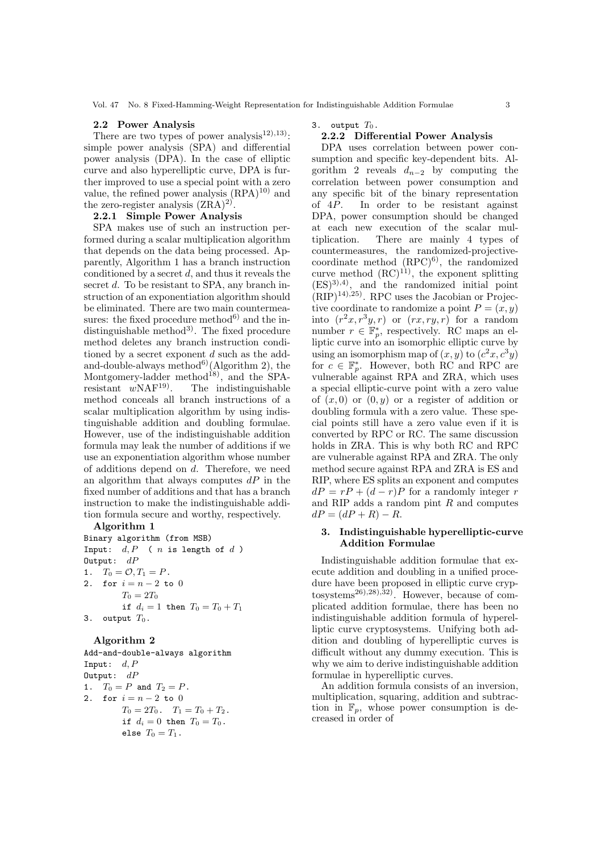#### 2.2 Power Analysis

There are two types of power analysis<sup>12</sup>),<sup>13</sup>): simple power analysis (SPA) and differential power analysis (DPA). In the case of elliptic curve and also hyperelliptic curve, DPA is further improved to use a special point with a zero value, the refined power analysis  $(RPA)^{10}$  and the zero-register analysis  $(ZRA)^{2}$ .

## 2.2.1 Simple Power Analysis

SPA makes use of such an instruction performed during a scalar multiplication algorithm that depends on the data being processed. Apparently, Algorithm 1 has a branch instruction conditioned by a secret  $d$ , and thus it reveals the secret d. To be resistant to SPA, any branch instruction of an exponentiation algorithm should be eliminated. There are two main countermeasures: the fixed procedure method<sup>6)</sup> and the indistinguishable method<sup>3)</sup>. The fixed procedure method deletes any branch instruction conditioned by a secret exponent  $d$  such as the addand-double-always method<sup>6)</sup>(Algorithm 2), the Montgomery-ladder method<sup>18</sup>, and the SPA-<br>resistant  $w\text{NAF}^{19}$ . The indistinguishable The indistinguishable method conceals all branch instructions of a scalar multiplication algorithm by using indistinguishable addition and doubling formulae. However, use of the indistinguishable addition formula may leak the number of additions if we use an exponentiation algorithm whose number of additions depend on d. Therefore, we need an algorithm that always computes  $dP$  in the fixed number of additions and that has a branch instruction to make the indistinguishable addition formula secure and worthy, respectively.

#### Algorithm 1

Binary algorithm (from MSB) Input:  $d, P$  (  $n$  is length of  $d$  ) Output:  $dP$ 1.  $T_0 = \mathcal{O}, T_1 = P$ . 2. for  $i = n - 2$  to 0  $T_0 = 2T_0$ if  $d_i = 1$  then  $T_0 = T_0 + T_1$ 3. output  $T_0$ .

#### Algorithm 2

Add-and-double-always algorithm Input:  $d, P$ Output:  $dP$ 1.  $T_0 = P$  and  $T_2 = P$ . 2. for  $i = n - 2$  to 0  $T_0 = 2T_0$ .  $T_1 = T_0 + T_2$ . if  $d_i = 0$  then  $T_0 = T_0$ . else  $T_0 = T_1$ .

3. output  $T_0$ .

## 2.2.2 Differential Power Analysis

DPA uses correlation between power consumption and specific key-dependent bits. Algorithm 2 reveals  $d_{n-2}$  by computing the correlation between power consumption and any specific bit of the binary representation of 4P. In order to be resistant against DPA, power consumption should be changed at each new execution of the scalar multiplication. There are mainly 4 types of countermeasures, the randomized-projectivecoordinate method  $(RPC)^{6}$ , the randomized curve method  $(RC)^{11}$ , the exponent splitting  $(ES)^{3,4}$ , and the randomized initial point  $(RIP)^{14}$ ,  $^{25}$ ). RPC uses the Jacobian or Projective coordinate to randomize a point  $P = (x, y)$ into  $(r^2x, r^3y, r)$  or  $(rx, ry, r)$  for a random number  $r \in \mathbb{F}_p^*$ , respectively. RC maps an elliptic curve into an isomorphic elliptic curve by using an isomorphism map of  $(x, y)$  to  $(c^2x, c^3y)$ for  $c \in \mathbb{F}_p^*$ . However, both RC and RPC are vulnerable against RPA and ZRA, which uses a special elliptic-curve point with a zero value of  $(x, 0)$  or  $(0, y)$  or a register of addition or doubling formula with a zero value. These special points still have a zero value even if it is converted by RPC or RC. The same discussion holds in ZRA. This is why both RC and RPC are vulnerable against RPA and ZRA. The only method secure against RPA and ZRA is ES and RIP, where ES splits an exponent and computes  $dP = rP + (d - r)P$  for a randomly integer r and RIP adds a random pint  $R$  and computes  $dP = (dP + R) - R.$ 

#### 3. Indistinguishable hyperelliptic-curve Addition Formulae

Indistinguishable addition formulae that execute addition and doubling in a unified procedure have been proposed in elliptic curve cryptosystems26),28),32). However, because of complicated addition formulae, there has been no indistinguishable addition formula of hyperelliptic curve cryptosystems. Unifying both addition and doubling of hyperelliptic curves is difficult without any dummy execution. This is why we aim to derive indistinguishable addition formulae in hyperelliptic curves.

An addition formula consists of an inversion, multiplication, squaring, addition and subtraction in  $\mathbb{F}_p$ , whose power consumption is decreased in order of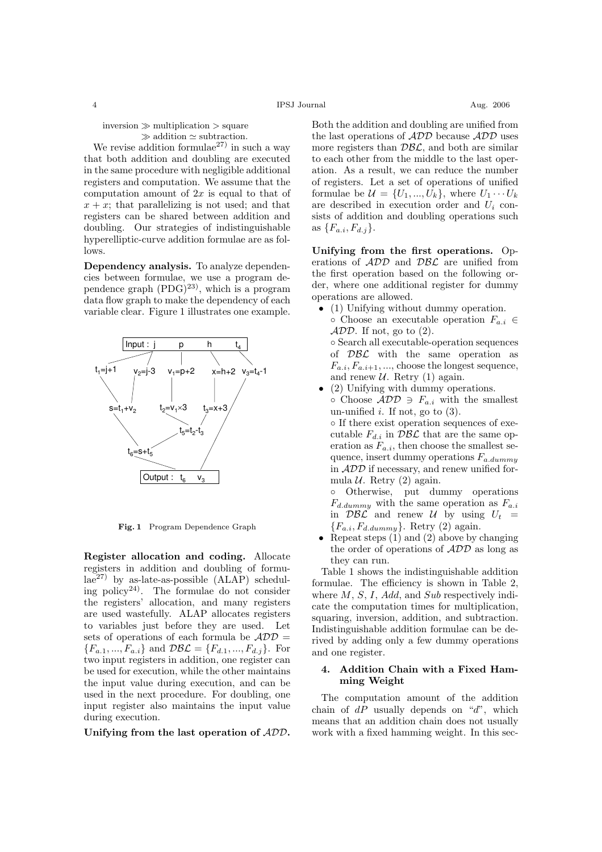inversion  $\gg$  multiplication  $>$  square  $\gg$  addition  $\simeq$  subtraction.

We revise addition formulae<sup>27)</sup> in such a way that both addition and doubling are executed in the same procedure with negligible additional registers and computation. We assume that the computation amount of  $2x$  is equal to that of  $x + x$ ; that parallelizing is not used; and that registers can be shared between addition and doubling. Our strategies of indistinguishable hyperelliptic-curve addition formulae are as follows.

Dependency analysis. To analyze dependencies between formulae, we use a program dependence graph  $(PDG)^{23}$ , which is a program data flow graph to make the dependency of each variable clear. Figure 1 illustrates one example.



Fig. 1 Program Dependence Graph

Register allocation and coding. Allocate registers in addition and doubling of formu $la^{27}$  by as-late-as-possible  $(ALAP)$  scheduling policy<sup>24)</sup>. The formulae do not consider the registers' allocation, and many registers are used wastefully. ALAP allocates registers to variables just before they are used. Let sets of operations of each formula be  $\mathcal{ADD} =$  ${F_{a.1},..., F_{a.i}}$  and  $\mathcal{DBL} = {F_{d.1},..., F_{d.i}}$ . For two input registers in addition, one register can be used for execution, while the other maintains the input value during execution, and can be used in the next procedure. For doubling, one input register also maintains the input value during execution.

Unifying from the last operation of ADD.

Both the addition and doubling are unified from

the last operations of  $\mathcal{ADD}$  because  $\mathcal{ADD}$  uses more registers than  $\mathcal{DBL}$ , and both are similar to each other from the middle to the last operation. As a result, we can reduce the number of registers. Let a set of operations of unified formulae be  $\mathcal{U} = \{U_1, ..., U_k\}$ , where  $U_1 \cdots U_k$ are described in execution order and  $U_i$  consists of addition and doubling operations such as  $\{F_{a,i}, F_{d,j}\}.$ 

Unifying from the first operations. Operations of ADD and DBL are unified from the first operation based on the following order, where one additional register for dummy operations are allowed.

- (1) Unifying without dummy operation.
- $\circ$  Choose an executable operation  $F_{a,i} \in$  $ADD$ . If not, go to  $(2)$ . ◦ Search all executable-operation sequences

of  $\mathcal{DBL}$  with the same operation as  $F_{a.i}, F_{a.i+1}, ...,$  choose the longest sequence, and renew  $U$ . Retry (1) again.

• (2) Unifying with dummy operations.  $\circ$  Choose  $\mathcal{ADD} \ni F_{a,i}$  with the smallest un-unified  $i$ . If not, go to  $(3)$ . ◦ If there exist operation sequences of executable  $F_{d,i}$  in  $\mathcal{DBL}$  that are the same op-

eration as  $F_{a,i}$ , then choose the smallest sequence, insert dummy operations  $F_{a.dummy}$ in ADD if necessary, and renew unified formula  $U$ . Retry (2) again.

◦ Otherwise, put dummy operations  $F_{d.dummy}$  with the same operation as  $F_{a.i}$ in  $\mathcal{DBL}$  and renew U by using  $U_t =$  ${F_{a.i}, F_{d.dummy}}$ . Retry (2) again.

• Repeat steps  $(1)$  and  $(2)$  above by changing the order of operations of ADD as long as they can run.

Table 1 shows the indistinguishable addition formulae. The efficiency is shown in Table 2, where  $M$ ,  $S$ ,  $I$ ,  $Add$ , and  $Sub$  respectively indicate the computation times for multiplication, squaring, inversion, addition, and subtraction. Indistinguishable addition formulae can be derived by adding only a few dummy operations and one register.

## 4. Addition Chain with a Fixed Hamming Weight

The computation amount of the addition chain of  $dP$  usually depends on "d", which means that an addition chain does not usually work with a fixed hamming weight. In this sec-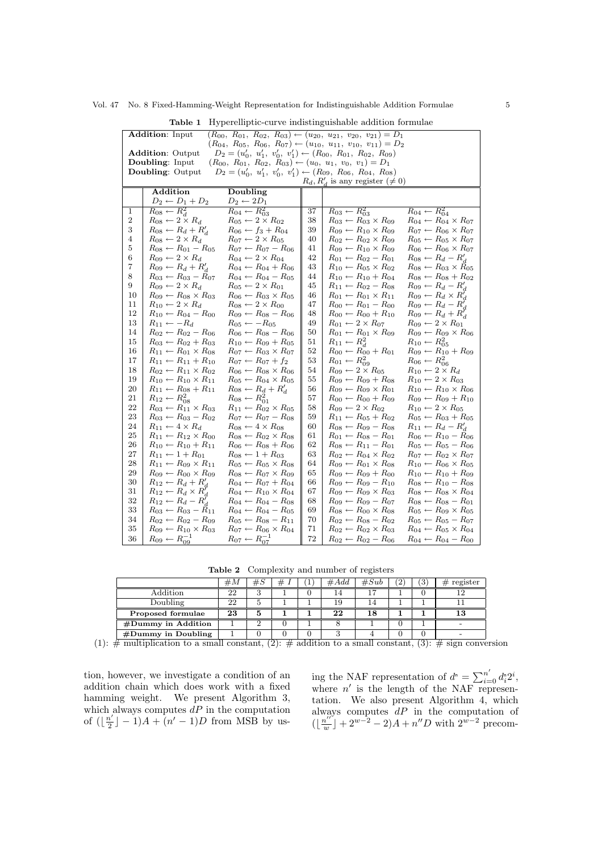Vol. 47 No. 8 Fixed-Hamming-Weight Representation for Indistinguishable Addition Formulae 5

|                                                                                                  | ◡・                                                                                                                                                                                                     |                                                                              |    |                                          |                                          |  |  |
|--------------------------------------------------------------------------------------------------|--------------------------------------------------------------------------------------------------------------------------------------------------------------------------------------------------------|------------------------------------------------------------------------------|----|------------------------------------------|------------------------------------------|--|--|
|                                                                                                  | <b>Addition:</b> Input<br>$(R_{00}, R_{01}, R_{02}, R_{03}) \leftarrow (u_{20}, u_{21}, v_{20}, v_{21}) = D_1$<br>$(R_{04}, R_{05}, R_{06}, R_{07}) \leftarrow (u_{10}, u_{11}, v_{10}, v_{11}) = D_2$ |                                                                              |    |                                          |                                          |  |  |
|                                                                                                  |                                                                                                                                                                                                        |                                                                              |    |                                          |                                          |  |  |
|                                                                                                  | <b>Addition: Output</b>                                                                                                                                                                                | $D_2 = (u'_0, u'_1, v'_0, v'_1) \leftarrow (R_{00}, R_{01}, R_{02}, R_{09})$ |    |                                          |                                          |  |  |
|                                                                                                  | Doubling: Input                                                                                                                                                                                        | $(R_{00}, R_{01}, R_{02}, R_{03}) \leftarrow (u_0, u_1, v_0, v_1) = D_1$     |    |                                          |                                          |  |  |
| $D_2 = (u'_0, u'_1, v'_0, v'_1) \leftarrow (R_{09}, R_{06}, R_{04}, R_{08})$<br>Doubling: Output |                                                                                                                                                                                                        |                                                                              |    |                                          |                                          |  |  |
| $R_d, R'_d$ is any register $(\neq 0)$                                                           |                                                                                                                                                                                                        |                                                                              |    |                                          |                                          |  |  |
|                                                                                                  | Addition                                                                                                                                                                                               | Doubling                                                                     |    |                                          |                                          |  |  |
|                                                                                                  | $D_2 \leftarrow D_1 + D_2$                                                                                                                                                                             | $D_2 \leftarrow 2D_1$                                                        |    |                                          |                                          |  |  |
| 1                                                                                                | $R_{08} \leftarrow R_d^2$                                                                                                                                                                              | $R_{04} \leftarrow R_{03}^2$                                                 | 37 | $R_{03} \leftarrow R_{03}^2$             | $R_{04} \leftarrow R_{04}^2$             |  |  |
| $\overline{\mathbf{c}}$                                                                          | $R_{08} \leftarrow 2 \times R_d$                                                                                                                                                                       | $R_{05} \leftarrow 2 \times R_{02}$                                          | 38 | $R_{03} \leftarrow R_{03} \times R_{09}$ | $R_{04} \leftarrow R_{04} \times R_{07}$ |  |  |
| 3                                                                                                | $R_{08} \leftarrow R_d + R'_d$                                                                                                                                                                         | $R_{06} \leftarrow f_3 + R_{04}$                                             | 39 | $R_{09} \leftarrow R_{10} \times R_{09}$ | $R_{07} \leftarrow R_{06} \times R_{07}$ |  |  |
| 4                                                                                                | $R_{08} \leftarrow 2 \times R_d$                                                                                                                                                                       | $R_{07} \leftarrow 2 \times R_{05}$                                          | 40 | $R_{02} \leftarrow R_{02} \times R_{09}$ | $R_{05} \leftarrow R_{05} \times R_{07}$ |  |  |
| $\bf 5$                                                                                          | $R_{08} \leftarrow R_{01} - R_{05}$                                                                                                                                                                    | $R_{07} \leftarrow R_{07} - R_{06}$                                          | 41 | $R_{09} \leftarrow R_{10} \times R_{09}$ | $R_{06} \leftarrow R_{06} \times R_{07}$ |  |  |
| $\,6$                                                                                            | $R_{09} \leftarrow 2 \times R_d$                                                                                                                                                                       | $R_{04} \leftarrow 2 \times R_{04}$                                          | 42 | $R_{01} \leftarrow R_{02} - R_{01}$      | $R_{08} \leftarrow R_d - R_d'$           |  |  |
| 7                                                                                                | $R_{09} \leftarrow R_d + R'_d$                                                                                                                                                                         | $R_{04} \leftarrow R_{04} + R_{06}$                                          | 43 | $R_{10} \leftarrow R_{05} \times R_{02}$ | $R_{08} \leftarrow R_{03} \times R_{05}$ |  |  |
| $8\,$                                                                                            | $R_{03} \leftarrow R_{03} - R_{07}$                                                                                                                                                                    | $R_{04} \leftarrow R_{04} - R_{05}$                                          | 44 | $R_{10} \leftarrow R_{10} + R_{04}$      | $R_{08} \leftarrow R_{08} + R_{02}$      |  |  |
| $\overline{9}$                                                                                   | $R_{09} \leftarrow 2 \times R_d$                                                                                                                                                                       | $R_{05} \leftarrow 2 \times R_{01}$                                          | 45 | $R_{11} \leftarrow R_{02} - R_{08}$      | $R_{09} \leftarrow R_d - R'_d$           |  |  |
| 10                                                                                               | $R_{09} \leftarrow R_{08} \times R_{03}$                                                                                                                                                               | $R_{06} \leftarrow R_{03} \times R_{05}$                                     | 46 | $R_{01} \leftarrow R_{01} \times R_{11}$ | $R_{09} \leftarrow R_d \times R'_d$      |  |  |
| 11                                                                                               | $R_{10} \leftarrow 2 \times R_d$                                                                                                                                                                       | $R_{08} \leftarrow 2 \times R_{00}$                                          | 47 | $R_{00} \leftarrow R_{01} - R_{00}$      | $R_{09} \leftarrow R_d - R_d'$           |  |  |
| 12                                                                                               | $R_{10} \leftarrow R_{04} - R_{00}$                                                                                                                                                                    | $R_{09} \leftarrow R_{08} - R_{06}$                                          | 48 | $R_{00} \leftarrow R_{00} + R_{10}$      | $R_{09} \leftarrow R_d + R'_d$           |  |  |
| 13                                                                                               | $R_{11} \leftarrow -R_d$                                                                                                                                                                               | $R_{05} \leftarrow -R_{05}$                                                  | 49 | $R_{01} \leftarrow 2 \times R_{07}$      | $R_{09} \leftarrow 2 \times R_{01}$      |  |  |
| 14                                                                                               | $R_{02} \leftarrow R_{02} - R_{06}$                                                                                                                                                                    | $R_{06} \leftarrow R_{08} - R_{06}$                                          | 50 | $R_{01} \leftarrow R_{01} \times R_{09}$ | $R_{09} \leftarrow R_{09} \times R_{06}$ |  |  |
| 15                                                                                               | $R_{03} \leftarrow R_{02} + R_{03}$                                                                                                                                                                    | $R_{10} \leftarrow R_{09} + R_{05}$                                          | 51 | $R_{11} \leftarrow R_d^2$                | $R_{10} \leftarrow R_{05}^2$             |  |  |
| 16                                                                                               | $R_{11} \leftarrow R_{01} \times R_{08}$                                                                                                                                                               | $R_{07} \leftarrow R_{03} \times R_{07}$                                     | 52 | $R_{00} \leftarrow R_{00} + R_{01}$      | $R_{09} \leftarrow R_{10} + R_{09}$      |  |  |
| 17                                                                                               | $R_{11} \leftarrow R_{11} + R_{10}$                                                                                                                                                                    | $R_{07} \leftarrow R_{07} + f_2$                                             | 53 | $R_{01} \leftarrow R_{09}^2$             | $R_{06} \leftarrow R_{06}^2$             |  |  |
| 18                                                                                               | $R_{02} \leftarrow R_{11} \times R_{02}$                                                                                                                                                               | $R_{06} \leftarrow R_{08} \times R_{06}$                                     | 54 | $R_{09} \leftarrow 2 \times R_{05}$      | $R_{10} \leftarrow 2 \times R_d$         |  |  |
| 19                                                                                               | $R_{10} \leftarrow R_{10} \times R_{11}$                                                                                                                                                               | $R_{05} \leftarrow R_{04} \times R_{05}$                                     | 55 | $R_{09} \leftarrow R_{09} + R_{08}$      | $R_{10} \leftarrow 2 \times R_{03}$      |  |  |
| 20                                                                                               | $R_{11} \leftarrow R_{08} + R_{11}$                                                                                                                                                                    | $R_{08} \leftarrow R_d + R'_d$                                               | 56 | $R_{09} \leftarrow R_{09} \times R_{01}$ | $R_{10} \leftarrow R_{10} \times R_{06}$ |  |  |
| 21                                                                                               | $R_{12} \leftarrow R_{08}^2$                                                                                                                                                                           | $R_{08} \leftarrow R_{01}^2$                                                 | 57 | $R_{00} \leftarrow R_{00} + R_{09}$      | $R_{09} \leftarrow R_{09} + R_{10}$      |  |  |
| 22                                                                                               | $R_{03} \leftarrow R_{11} \times R_{03}$                                                                                                                                                               | $R_{11} \leftarrow R_{02} \times R_{05}$                                     | 58 | $R_{09} \leftarrow 2 \times R_{02}$      | $R_{10} \leftarrow 2 \times R_{05}$      |  |  |
| 23                                                                                               | $R_{03} \leftarrow R_{03} - R_{02}$                                                                                                                                                                    | $R_{07} \leftarrow R_{07} - R_{08}$                                          | 59 | $R_{11} \leftarrow R_{05} + R_{02}$      | $R_{05} \leftarrow R_{03} + R_{05}$      |  |  |
| 24                                                                                               | $R_{11} \leftarrow 4 \times R_d$                                                                                                                                                                       | $R_{08} \leftarrow 4 \times R_{08}$                                          | 60 | $R_{08} \leftarrow R_{09} - R_{08}$      | $R_{11} \leftarrow R_d - R'_d$           |  |  |
| 25                                                                                               | $R_{11} \leftarrow R_{12} \times R_{00}$                                                                                                                                                               | $R_{08} \leftarrow R_{02} \times R_{08}$                                     | 61 | $R_{01} \leftarrow R_{08} - R_{01}$      | $R_{06} \leftarrow R_{10} - R_{06}$      |  |  |
| 26                                                                                               | $R_{10} \leftarrow R_{10} + R_{11}$                                                                                                                                                                    | $R_{06} \leftarrow R_{08} + R_{06}$                                          | 62 | $R_{08} \leftarrow R_{11} - R_{01}$      | $R_{05} \leftarrow R_{05} - R_{06}$      |  |  |
| 27                                                                                               | $R_{11} \leftarrow 1 + R_{01}$                                                                                                                                                                         | $R_{08} \leftarrow 1 + R_{03}$                                               | 63 | $R_{02} \leftarrow R_{04} \times R_{02}$ | $R_{07} \leftarrow R_{02} \times R_{07}$ |  |  |
| 28                                                                                               | $R_{11} \leftarrow R_{09} \times R_{11}$                                                                                                                                                               | $R_{05} \leftarrow R_{05} \times R_{08}$                                     | 64 | $R_{09} \leftarrow R_{01} \times R_{08}$ | $R_{10} \leftarrow R_{06} \times R_{05}$ |  |  |
| 29                                                                                               | $R_{09} \leftarrow R_{00} \times R_{09}$                                                                                                                                                               | $R_{08} \leftarrow R_{07} \times R_{09}$                                     | 65 | $R_{09} \leftarrow R_{09} + R_{00}$      | $R_{10} \leftarrow R_{10} + R_{09}$      |  |  |
| 30                                                                                               | $R_{12} \leftarrow R_d + R'_d$                                                                                                                                                                         | $R_{04} \leftarrow R_{07} + R_{04}$                                          | 66 | $R_{09} \leftarrow R_{09} - R_{10}$      | $R_{08} \leftarrow R_{10} - R_{08}$      |  |  |
| 31                                                                                               | $R_{12} \leftarrow R_d \times R'_d$                                                                                                                                                                    | $R_{04} \leftarrow R_{10} \times R_{04}$                                     | 67 | $R_{09} \leftarrow R_{09} \times R_{03}$ | $R_{08} \leftarrow R_{08} \times R_{04}$ |  |  |
| 32                                                                                               | $R_{12} \leftarrow R_d - R'_d$                                                                                                                                                                         | $R_{04} \leftarrow R_{04} - R_{08}$                                          | 68 | $R_{09} \leftarrow R_{09} - R_{07}$      | $R_{08} \leftarrow R_{08} - R_{01}$      |  |  |
| 33                                                                                               | $R_{03} \leftarrow R_{03} - R_{11}$                                                                                                                                                                    | $R_{04} \leftarrow R_{04} - R_{05}$                                          | 69 | $R_{08} \leftarrow R_{00} \times R_{08}$ | $R_{05} \leftarrow R_{09} \times R_{05}$ |  |  |
| 34                                                                                               | $R_{02} \leftarrow R_{02} - R_{09}$                                                                                                                                                                    | $R_{05} \leftarrow R_{08} - R_{11}$                                          | 70 | $R_{02} \leftarrow R_{08} - R_{02}$      | $R_{05} \leftarrow R_{05} - R_{07}$      |  |  |
| 35                                                                                               | $R_{09} \leftarrow R_{10} \times R_{03}$                                                                                                                                                               | $R_{07} \leftarrow R_{06} \times R_{04}$                                     | 71 | $R_{02} \leftarrow R_{02} \times R_{03}$ | $R_{04} \leftarrow R_{05} \times R_{04}$ |  |  |
| 36                                                                                               | $R_{09} \leftarrow R_{09}^{-1}$                                                                                                                                                                        | $R_{07} \leftarrow R_{07}^{-1}$                                              | 72 | $R_{02} \leftarrow R_{02} - R_{06}$      | $R_{04} \leftarrow R_{04} - R_{00}$      |  |  |

Table 1 Hyperelliptic-curve indistinguishable addition formulae

Table 2 Complexity and number of registers

|                      | #М | #S       | # | - | $\#Add$ | #Sub | '3` | $#$ register |
|----------------------|----|----------|---|---|---------|------|-----|--------------|
| Addition             | 22 | $\Omega$ |   |   | 14      |      |     |              |
| Doubling             | 22 |          |   |   | 19      | 14   |     |              |
| Proposed formulae    | 23 | .h       |   |   | 22      | 18   |     | 13           |
| #Dummy in Addition   |    |          |   |   |         |      |     |              |
| $#Dummy$ in Doubling |    |          |   |   |         |      |     |              |

(1):  $\#$  multiplication to a small constant, (2):  $\#$  addition to a small constant, (3):  $\#$  sign conversion

tion, however, we investigate a condition of an addition chain which does work with a fixed hamming weight. We present Algorithm 3, which always computes  $dP$  in the computation of  $\left(\left\lfloor \frac{n'}{2} \right\rfloor\right)$  $\frac{n'}{2}$  | - 1) $A + (n' - 1)D$  from MSB by us-

ing the NAF representation of  $d^{\circ} = \sum_{i=0}^{n'} d_i^{\circ} 2^i$ , where  $n'$  is the length of the NAF representation. We also present Algorithm 4, which always computes  $dP$  in the computation of  $\left(\left|\frac{n''}{n}\right|\right)$  $\lfloor \frac{u''}{w} \rfloor + 2^{w-2} - 2A + n''D$  with  $2^{w-2}$  precom-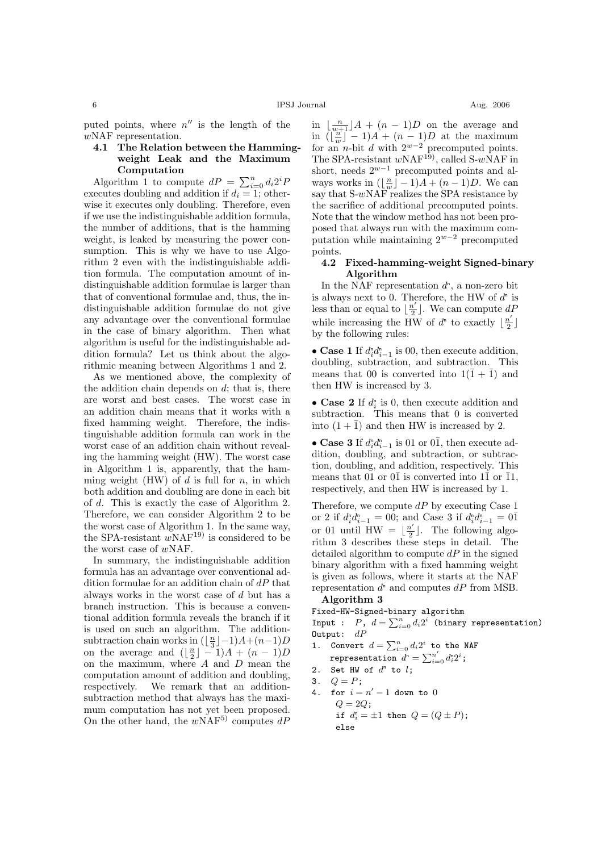puted points, where  $n''$  is the length of the wNAF representation.

## 4.1 The Relation between the Hammingweight Leak and the Maximum Computation

**Algorithm 1 to compute**  $dP = \sum_{i=0}^{n} d_i 2^i P$ executes doubling and addition if  $d_i = 1$ ; otherwise it executes only doubling. Therefore, even if we use the indistinguishable addition formula, the number of additions, that is the hamming weight, is leaked by measuring the power consumption. This is why we have to use Algorithm 2 even with the indistinguishable addition formula. The computation amount of indistinguishable addition formulae is larger than that of conventional formulae and, thus, the indistinguishable addition formulae do not give any advantage over the conventional formulae in the case of binary algorithm. Then what algorithm is useful for the indistinguishable addition formula? Let us think about the algorithmic meaning between Algorithms 1 and 2.

As we mentioned above, the complexity of the addition chain depends on  $d$ ; that is, there are worst and best cases. The worst case in an addition chain means that it works with a fixed hamming weight. Therefore, the indistinguishable addition formula can work in the worst case of an addition chain without revealing the hamming weight (HW). The worst case in Algorithm 1 is, apparently, that the hamming weight (HW) of  $d$  is full for  $n$ , in which both addition and doubling are done in each bit of d. This is exactly the case of Algorithm 2. Therefore, we can consider Algorithm 2 to be the worst case of Algorithm 1. In the same way, the SPA-resistant  $wNAF^{19}$  is considered to be the worst case of wNAF.

In summary, the indistinguishable addition formula has an advantage over conventional addition formulae for an addition chain of  $dP$  that always works in the worst case of d but has a branch instruction. This is because a conventional addition formula reveals the branch if it is used on such an algorithm. The additionsubtraction chain works in  $(\lfloor \frac{n}{3} \rfloor - 1)A + (n-1)D$ on the average and  $(\lfloor \frac{n}{2} \rfloor - 1)A + (n - 1)D$ on the maximum, where A and D mean the computation amount of addition and doubling, respectively. We remark that an additionsubtraction method that always has the maximum computation has not yet been proposed. On the other hand, the  $w\overset{\sim}{\text{NAF}}^{5)}$  computes  $dP$ 

in  $\lfloor \frac{n}{w+1} \rfloor A + (n-1)D$  on the average and in  $\left(\begin{bmatrix} \frac{n}{w} \end{bmatrix} - 1\right)A + (n-1)D$  at the maximum for an *n*-bit d with  $2^{w-2}$  precomputed points. The SPA-resistant  $w\text{NAF}^{19}$ , called S- $w\text{NAF}$  in short, needs  $2^{w-1}$  precomputed points and always works in  $(\lfloor \frac{n}{w} \rfloor - 1)A + (n - 1)D$ . We can say that  $S-wNAF$  realizes the SPA resistance by the sacrifice of additional precomputed points. Note that the window method has not been proposed that always run with the maximum computation while maintaining  $2^{w-2}$  precomputed points.

## 4.2 Fixed-hamming-weight Signed-binary Algorithm

In the NAF representation  $d^n$ , a non-zero bit is always next to 0. Therefore, the HW of  $d<sup>n</sup>$  is less than or equal to  $\frac{n'}{2}$  $\frac{a'}{2}$ . We can compute  $dP$ while increasing the HW of  $d^n$  to exactly  $\lfloor \frac{n'}{2} \rfloor$  $\frac{i'}{2}$ by the following rules:

• Case 1 If  $d_i^n d_{i-1}^n$  is 00, then execute addition, doubling, subtraction, and subtraction. This means that 00 is converted into  $1(\bar{1} + \bar{1})$  and then HW is increased by 3.

• Case 2 If  $d_i^n$  is 0, then execute addition and subtraction. This means that 0 is converted into  $(1 + \overline{1})$  and then HW is increased by 2.

• Case 3 If  $d_i^n d_{i-1}^n$  is 01 or 0 $\overline{1}$ , then execute addition, doubling, and subtraction, or subtraction, doubling, and addition, respectively. This means that 01 or  $0\overline{1}$  is converted into  $1\overline{1}$  or  $\overline{1}1$ , respectively, and then HW is increased by 1.

Therefore, we compute  $dP$  by executing Case 1 or 2 if  $d_i^{\text{n}} d_{i-1}^{\text{n}} = 00$ ; and Case 3 if  $d_i^{\text{n}} d_{i-1}^{\text{n}} = 0\overline{1}$ or 01 until HW =  $\frac{n'}{2}$  $\frac{a'}{2}$ . The following algorithm 3 describes these steps in detail. The detailed algorithm to compute  $dP$  in the signed binary algorithm with a fixed hamming weight is given as follows, where it starts at the NAF representation  $d^n$  and computes  $dP$  from MSB.

#### Algorithm 3

Fixed-HW-Signed-binary algorithm<br>Innut :  $P = d - \sum_{i=1}^{n} d_i q_i^i$  (binary

Input :  $P$ ,  $d = \sum_{i=0}^{n} d_i 2^i$  (binary representation) Output:  $dP$ 

1. Convert  $d = \sum_{i=0}^{n} d_i 2^i$  to the NAF<br>proposed the state of  $d^n$  and  $\sum_{i=0}^{n'} d_i 2^i$ . representation  $d^n = \sum_{i=0}^{n'} d^n_i 2^i$ ;

2. Set HW of 
$$
d^n
$$
 to  $l$ ;

- 3.  $Q = P$ ;
- 4. for  $i = n' 1$  down to 0  $Q = 2Q$ ; if  $d_i^n = \pm 1$  then  $Q = (Q \pm P)$ ; else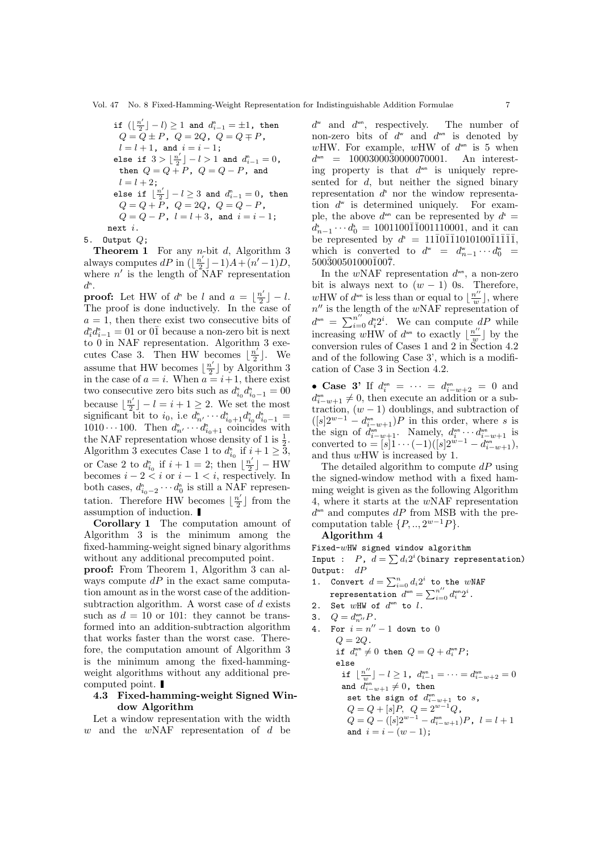$$
\begin{array}{l} \text{if } (\lfloor \frac{n'}{2} \rfloor - l) \geq 1 \text{ and } d_{i-1}^n = \pm 1, \text{ then } \\ Q = Q \pm P, \ Q = 2Q, \ Q = Q \mp P, \\ l = l+1, \text{ and } i = i-1; \end{array}
$$
\n
$$
\text{else if } 3 > \lfloor \frac{n'}{2} \rfloor - l > 1 \text{ and } d_{i-1}^n = 0, \text{ then } Q = Q + P, \ Q = Q - P, \text{ and } \\ l = l+2; \text{else if } \lfloor \frac{n'}{2} \rfloor - l \geq 3 \text{ and } d_{i-1}^n = 0, \text{ then } \\ Q = Q + P, \ Q = 2Q, \ Q = Q - P, \quad Q = Q - P, \ Q = Q - P, \ l = l+3, \text{ and } i = i-1; \text{next } i. \end{array}
$$

5. Output  $Q$ ;

**Theorem 1** For any *n*-bit  $d$ , Algorithm 3 always computes dP in  $\left(\left|\frac{n}{2}\right|\right)$  $\frac{n'}{2}$ ] -1)A+(n'-1)D, where  $n'$  is the length of NAF representation  $d^n$ .

**proof:** Let HW of  $d^n$  be l and  $a = \frac{n^2}{2}$  $\frac{i'}{2}$  |  $-l$ . The proof is done inductively. In the case of  $a = 1$ , then there exist two consecutive bits of  $d_i^n d_{i-1}^n = 01$  or  $0\overline{1}$  because a non-zero bit is next to 0 in NAF representation. Algorithm 3 executes Case 3. Then HW becomes  $\frac{n'}{2}$  $\frac{i'}{2}$ . We assume that HW becomes  $\frac{n'}{2}$  $\frac{n'}{2}$  by Algorithm 3 in the case of  $a = i$ . When  $a = i + 1$ , there exist two consecutive zero bits such as  $d_{i_0}^{\mathsf{n}} d_{i_0-1}^{\mathsf{n}} = 00$ because  $\left|\frac{n'}{2}\right| - l = i + 1 \geq 2$ . We set the most because  $\lfloor \frac{n}{2} \rfloor - i - i + 1 \leq 2$ . We set the most<br>significant bit to  $i_0$ , i.e  $d_{n'}^n \cdots d_{i_0+1}^n d_{i_0}^n d_{i_0-1}^n =$ 1010 · · · 100. Then  $d_{n'}^{\text{L}} \cdots d_{i_0+1}^{\text{n}}$  coincides with the NAF representation whose density of 1 is  $\frac{1}{2}$ . Algorithm 3 executes Case 1 to  $d_{i_0}^{\text{r}}$  if  $i+1 \geq \overline{3}$ , or Case 2 to  $d_{i_0}^n$  if  $i+1=2$ ; then  $\lfloor \frac{n'}{2} \rfloor$  $\frac{n'}{2}$  – HW becomes  $i - 2 < i$  or  $i - 1 < i$ , respectively. In both cases,  $d_{i_0-2}^n \cdots d_0^n$  is still a NAF representation. Therefore HW becomes  $\frac{n'}{2}$  $\frac{n'}{2}$  from the assumption of induction.

Corollary 1 The computation amount of Algorithm 3 is the minimum among the fixed-hamming-weight signed binary algorithms without any additional precomputed point.

proof: From Theorem 1, Algorithm 3 can always compute  $dP$  in the exact same computation amount as in the worst case of the additionsubtraction algorithm. A worst case of d exists such as  $d = 10$  or 101: they cannot be transformed into an addition-subtraction algorithm that works faster than the worst case. Therefore, the computation amount of Algorithm 3 is the minimum among the fixed-hammingweight algorithms without any additional precomputed point.

## 4.3 Fixed-hamming-weight Signed Window Algorithm

Let a window representation with the width  $w$  and the  $wNAF$  representation of  $d$  be

 $d^{\omega}$  and  $d^{\omega n}$ , respectively. The number of non-zero bits of  $d^w$  and  $d^{w}$  is denoted by wHW. For example, wHW of  $d^{w}$  is 5 when  $d^{wn}$  = 10003000 $\overline{3}0000070001$ . An interesting property is that  $d^{w}$  is uniquely represented for d, but neither the signed binary representation  $d^s$  nor the window representation  $d^{\omega}$  is determined uniquely. For example, the above  $d^{\omega n}$  can be represented by  $d^s =$  $d_{n-1}^s \cdots d_0^s = 1001100\overline{1}\overline{1}001\overline{1}10001$ , and it can be represented by  $d^s = 11\overline{1}0\overline{1}\overline{1}1010100\overline{1}1\overline{1}\overline{1}\overline{1}$ , which is converted to  $d^{\omega} = d_{n-1}^{\omega} \cdots d_0^{\omega} =$  $500\overline{3}00501000\overline{1}00\overline{7}$ .

In the  $wNAF$  representation  $d^{w_n}$ , a non-zero bit is always next to  $(w - 1)$  0s. Therefore, wHW of  $d^{w}$  is less than or equal to  $\frac{n^{\prime\prime}}{n}$  $\frac{u''}{w}$ , where  $n''$  is the length of the wNAF representation of  $d^{w_n} = \sum_{i=0}^{n'} d_i^* 2^i$ . We can compute  $dP$  while increasing wHW of  $d^{\omega n}$  to exactly  $\left| \frac{n^{\prime\prime}}{n}\right|$  $\frac{u''}{w}$  by the conversion rules of Cases 1 and 2 in Section 4.2 and of the following Case 3', which is a modification of Case 3 in Section 4.2.

• Case 3' If  $d_i^{w_n} = \cdots = d_{i-w+2}^{w_n} = 0$  and  $d_{i-w+1}^{w_0} \neq 0$ , then execute an addition or a subtraction,  $(w - 1)$  doublings, and subtraction of  $([s]2^{w-1} - d_{i-w+1}^{w}$ ) P in this order, where s is the sign of  $d_{i-w+1}^{\scriptscriptstyle{\text{wn}}}$ . Namely,  $d_{i}^{\scriptscriptstyle{\text{wn}}} \cdots d_{i-w+1}^{\scriptscriptstyle{\text{wn}}}$  is converted to =  $[s]$  $\overline{1}$   $\cdots$   $(-1)([s]2^{w-1} - d_{i-w+1}^{w-})$ , and thus wHW is increased by 1.

The detailed algorithm to compute  $dP$  using the signed-window method with a fixed hamming weight is given as the following Algorithm 4, where it starts at the wNAF representation  $d^{\omega n}$  and computes  $dP$  from MSB with the precomputation table  $\{P, \ldots, 2^{w-1}P\}.$ 

Algorithm 4

Fixed- $w$ HW signed window algorithm rixed-whw signed window algorithm<br>Input :  $P$ ,  $d = \sum d_i 2^i$ (binary representation) Output:  $dP$ 

- dirport  $d = \sum_{i=0}^n d_i 2^i$  to the wNAF representation  $d^{wn} = \sum_{i=0}^{n''} d_i^{wn} 2^i$ .
- 2. Set  $wHW$  of  $d^{wn}$  to  $l$ .
- 3.  $Q = d_{n''}^{\text{vm}} P$ .
- 4. For  $i = n'' 1$  down to 0  $Q = 2Q$ . if  $d_i^{w_n} \neq 0$  then  $Q = Q + d_i^{w_n} P$ ; else if  $\frac{n''}{n}$  $\left\{ \frac{u''}{w}\right\} -l\geq1$  ,  $\left. d_{i-1}^{\text{win}}\right. =\cdots \right. =d_{i-w+2}^{\text{win}}=0$ and  $d_{i-w+1}^{wn} \neq 0$ , then set the sign of  $d_{i-w+1}^{wn}$  to  $s$ ,  $Q = Q + [s]P, Q = 2^{w-1}Q,$  $Q = Q - ([s]2^{w-1} - d_{i-w+1}^{w_0})P, l = l+1$ and  $i = i - (w - 1)$ ;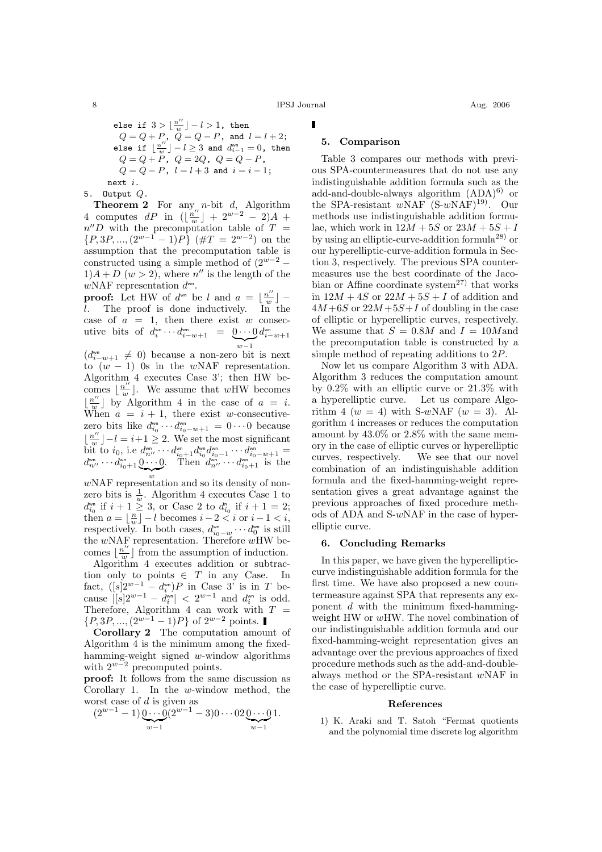8 IPSJ Journal Aug. 2006

else if  $3 > \frac{n''}{n}$  $\frac{u^{\prime\prime}}{w}\rfloor-l>1$ , then  $Q = Q + P$ ,  $Q = Q - P$ , and  $l = l + 2$ ; else if  $\frac{n''}{n}$  $\left\lfloor \frac{u''}{w} \right\rfloor - l \geq 3$  and  $d^{wn}_{i-1} = 0$ , then  $Q = Q + P$ ,  $Q = 2Q$ ,  $Q = Q - P$ ,  $Q = Q - P$ ,  $l = l + 3$  and  $i = i - 1$ ; next i.

5. Output Q.

**Theorem 2** For any *n*-bit  $d$ , Algorithm 4 computes dP in  $\left(\frac{n''}{n''}\right)$  $\frac{u''}{w}$ ] + 2<sup>w-2</sup> - 2)A +  $n''D$  with the precomputation table of  $T =$  $\{P,3P,...,(2^{w-1}-1)P\}$  (# $T=2^{w-2}$ ) on the assumption that the precomputation table is constructed using a simple method of  $(2^{w-2} 1)A + D$   $(w > 2)$ , where n'' is the length of the  $w\text{NAF representation } d^{\text{wn}}$ .

**proof:** Let HW of  $d^{w}$  be l and  $a = \frac{u''}{u''}$  $\frac{u''}{w}$ ] l. The proof is done inductively. In the case of  $a = 1$ , then there exist w consecutive bits of  $d_i^{w_n} \cdots d_{i-w+1}^{w_n} = \underbrace{0 \cdots 0}$  $w-1$  $d_{i-w+1}^{\text{wn}}$ 

 $(d_{i-w+1}^{w_0} \neq 0)$  because a non-zero bit is next to  $(w - 1)$  0s in the wNAF representation. Algorithm 4 executes Case 3'; then HW becomes  $\frac{n^{\prime\prime}}{n^{\prime\prime}}$  $\frac{u''}{w}$ . We assume that wHW becomes  $\lfloor \frac{n''}{w} \rfloor$  by Algorithm 4 in the case of  $a = i$ . When  $a = i + 1$ , there exist w-consecutivezero bits like  $d_{i_0}^{\omega n} \cdots d_{i_0-w+1}^{\omega n} = 0 \cdots 0$  because  $\frac{n''}{n}$  $\frac{i''}{w}$   $\big] - l = i + 1 \geq 2$ . We set the most significant bit to  $i_0$ , i.e  $d_{n''}^{\text{wn}} \cdots d_{i_0+1}^{\text{wn}} d_{i_0}^{\text{wn}} d_{i_0-1}^{\text{wn}} \cdots d_{i_0-w+1}^{\text{wn}} =$  $d_{n^{\prime\prime}}^{\text{wm}} \cdots d_{i_0+1}^{\text{wm}} \underbrace{0 \cdots 0}$ . Then  $d_{n^{\prime\prime}}^{\text{wm}} \cdots d_{i_0+1}^{\text{wm}}$  is the

w wNAF representation and so its density of nonzero bits is  $\frac{1}{w}$ . Algorithm 4 executes Case 1 to  $d_{i_0}^{w_0}$  if  $i+1 \geq 3$ , or Case 2 to  $d_{i_0}^{n}$  if  $i+1 = 2$ ; then  $a = \lfloor \frac{n}{w} \rfloor - l$  becomes  $i - 2 < i$  or  $i - 1 < i$ , respectively. In both cases,  $d_{i_0-w}^{w_n} \cdots d_0^{w_n}$  is still the  $wNAF$  representation. Therefore  $wHW$  becomes  $\frac{n^{\prime\prime}}{n^{\prime\prime}}$  $\frac{v''}{w}$  from the assumption of induction.

Algorithm 4 executes addition or subtraction only to points  $\in$  T in any Case. In fact,  $([s]2^{w-1} - d_i^{w})P$  in Case 3' is in T because  $|[s]2^{w-1} - d_i^{w_n}| < 2^{w-1}$  and  $d_i^{w_n}$  is odd. Therefore, Algorithm 4 can work with  $T =$  $\{P, 3P, ..., (2^{w-1} - 1)P\}$  of  $2^{w-2}$  points.

Corollary 2 The computation amount of Algorithm 4 is the minimum among the fixedhamming-weight signed w-window algorithms with  $2^{w-2}$  precomputed points.

proof: It follows from the same discussion as Corollary 1. In the w-window method, the worst case of d is given as

$$
(2^{w-1}-1)\underbrace{0\cdots 0}_{w-1}(2^{w-1}-3)0\cdots 02\underbrace{0\cdots 0}_{w-1}1.
$$

#### 5. Comparison

Table 3 compares our methods with previous SPA-countermeasures that do not use any indistinguishable addition formula such as the add-and-double-always algorithm  $(ADA)^{6}$  or the SPA-resistant  $wNAF$ <sup>(S-wNAF)<sup>19)</sup>. Our</sup> methods use indistinguishable addition formulae, which work in  $12M + 5S$  or  $23M + 5S + I$ by using an elliptic-curve-addition formula28) or our hyperelliptic-curve-addition formula in Section 3, respectively. The previous SPA countermeasures use the best coordinate of the Jacobian or Affine coordinate system<sup>27)</sup> that works in  $12M + 4S$  or  $22M + 5S + I$  of addition and  $4M + 6S$  or  $22M + 5S + I$  of doubling in the case of elliptic or hyperelliptic curves, respectively. We assume that  $S = 0.8M$  and  $I = 10M$ and the precomputation table is constructed by a simple method of repeating additions to 2P.

Now let us compare Algorithm 3 with ADA. Algorithm 3 reduces the computation amount by 0.2% with an elliptic curve or 21.3% with a hyperelliptic curve. Let us compare Algorithm 4 ( $w = 4$ ) with S-wNAF ( $w = 3$ ). Algorithm 4 increases or reduces the computation amount by 43.0% or 2.8% with the same memory in the case of elliptic curves or hyperelliptic curves, respectively. We see that our novel combination of an indistinguishable addition formula and the fixed-hamming-weight representation gives a great advantage against the previous approaches of fixed procedure methods of ADA and S-wNAF in the case of hyperelliptic curve.

#### 6. Concluding Remarks

In this paper, we have given the hyperellipticcurve indistinguishable addition formula for the first time. We have also proposed a new countermeasure against SPA that represents any exponent d with the minimum fixed-hammingweight HW or wHW. The novel combination of our indistinguishable addition formula and our fixed-hamming-weight representation gives an advantage over the previous approaches of fixed procedure methods such as the add-and-doublealways method or the SPA-resistant wNAF in the case of hyperelliptic curve.

#### References

1) K. Araki and T. Satoh "Fermat quotients and the polynomial time discrete log algorithm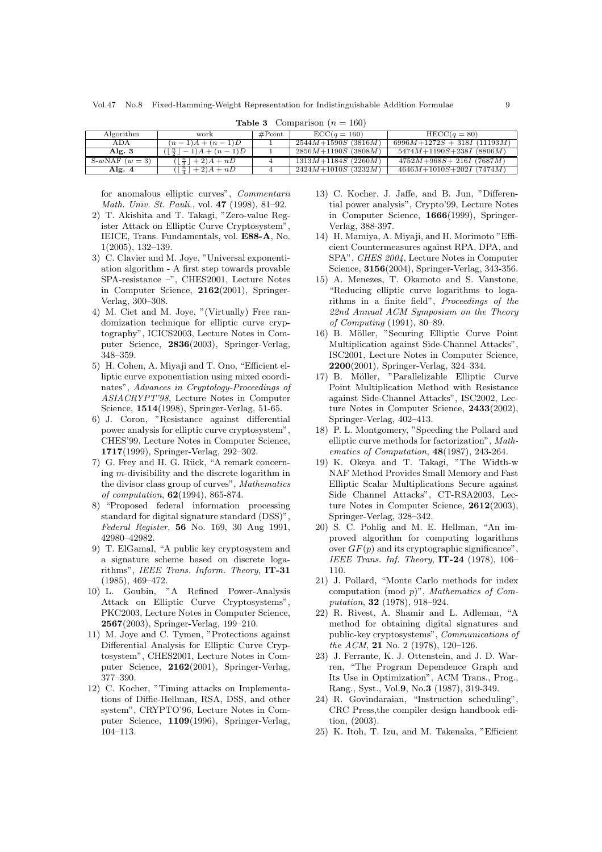| Algorithm      | work                                              | $\#\text{Point}$ | $\text{ECC}(q=160)$              | $HECC(q=80)$                   |
|----------------|---------------------------------------------------|------------------|----------------------------------|--------------------------------|
| ADA            | $(n-1)A + (n-1)D$                                 |                  | $2544M+1590S(3816M)$             | $6996M+1272S+318I(11193M)$     |
| Alg. $3$       | $\lfloor \frac{n}{2} \rfloor$<br>$(-1)A + (n-1)D$ |                  | $2856M + 1190S$ (3808M)          | $5474M + 1190S + 238I$ (8806M) |
| S-wNAF $(w=3)$ | $( \frac{n}{2}  + 2)A + nD$                       |                  | $1313M + 1184S$ (2260 <i>M</i> ) | $4752M + 968S + 216I$ (7687M)  |
| Alg. 4         | $( \frac{n}{4}  + 2)A + nD$                       |                  | $2424M + 1010S$ (3232M)          | $4646M + 1010S + 202I$ (7474M) |

**Table 3** Comparison  $(n = 160)$ 

for anomalous elliptic curves", Commentarii Math. Univ. St. Pauli., vol. 47 (1998), 81–92.

- 2) T. Akishita and T. Takagi, "Zero-value Register Attack on Elliptic Curve Cryptosystem", IEICE, Trans. Fundamentals, vol. E88-A, No. 1(2005), 132–139.
- 3) C. Clavier and M. Joye, "Universal exponentiation algorithm - A first step towards provable SPA-resistance –", CHES2001, Lecture Notes in Computer Science, 2162(2001), Springer-Verlag, 300–308.
- 4) M. Ciet and M. Joye, "(Virtually) Free randomization technique for elliptic curve cryptography", ICICS2003, Lecture Notes in Computer Science, 2836(2003), Springer-Verlag, 348–359.
- 5) H. Cohen, A. Miyaji and T. Ono, "Efficient elliptic curve exponentiation using mixed coordinates", Advances in Cryptology-Proceedings of ASIACRYPT'98, Lecture Notes in Computer Science, 1514(1998), Springer-Verlag, 51-65.
- 6) J. Coron, "Resistance against differential power analysis for elliptic curve cryptosystem", CHES'99, Lecture Notes in Computer Science, 1717(1999), Springer-Verlag, 292–302.
- 7) G. Frey and H. G. Rück, "A remark concerning m-divisibility and the discrete logarithm in the divisor class group of curves", Mathematics of computation, 62(1994), 865-874.
- 8) "Proposed federal information processing standard for digital signature standard (DSS)", Federal Register, 56 No. 169, 30 Aug 1991, 42980–42982.
- 9) T. ElGamal, "A public key cryptosystem and a signature scheme based on discrete logarithms", IEEE Trans. Inform. Theory, IT-31 (1985), 469–472.
- 10) L. Goubin, "A Refined Power-Analysis Attack on Elliptic Curve Cryptosystems", PKC2003, Lecture Notes in Computer Science, 2567(2003), Springer-Verlag, 199–210.
- 11) M. Joye and C. Tymen, "Protections against Differential Analysis for Elliptic Curve Cryptosystem", CHES2001, Lecture Notes in Computer Science, 2162(2001), Springer-Verlag, 377–390.
- 12) C. Kocher, "Timing attacks on Implementations of Diffie-Hellman, RSA, DSS, and other system", CRYPTO'96, Lecture Notes in Computer Science, 1109(1996), Springer-Verlag, 104–113.
- 13) C. Kocher, J. Jaffe, and B. Jun, "Differential power analysis", Crypto'99, Lecture Notes in Computer Science, 1666(1999), Springer-Verlag, 388-397.
- 14) H. Mamiya, A. Miyaji, and H. Morimoto "Efficient Countermeasures against RPA, DPA, and SPA", CHES 2004, Lecture Notes in Computer Science, 3156(2004), Springer-Verlag, 343-356.
- 15) A. Menezes, T. Okamoto and S. Vanstone, "Reducing elliptic curve logarithms to logarithms in a finite field", Proceedings of the 22nd Annual ACM Symposium on the Theory of Computing (1991), 80–89.
- 16) B. Möller, "Securing Elliptic Curve Point Multiplication against Side-Channel Attacks", ISC2001, Lecture Notes in Computer Science, 2200(2001), Springer-Verlag, 324–334.
- 17) B. Möller, "Parallelizable Elliptic Curve Point Multiplication Method with Resistance against Side-Channel Attacks", ISC2002, Lecture Notes in Computer Science, 2433(2002), Springer-Verlag, 402–413.
- 18) P. L. Montgomery, "Speeding the Pollard and elliptic curve methods for factorization", Mathematics of Computation, 48(1987), 243-264.
- 19) K. Okeya and T. Takagi, "The Width-w NAF Method Provides Small Memory and Fast Elliptic Scalar Multiplications Secure against Side Channel Attacks", CT-RSA2003, Lecture Notes in Computer Science, 2612(2003), Springer-Verlag, 328–342.
- 20) S. C. Pohlig and M. E. Hellman, "An improved algorithm for computing logarithms over  $GF(p)$  and its cryptographic significance", IEEE Trans. Inf. Theory,  $IT-24$  (1978), 106– 110.
- 21) J. Pollard, "Monte Carlo methods for index computation (mod p)", Mathematics of Computation, 32 (1978), 918–924.
- 22) R. Rivest, A. Shamir and L. Adleman, "A method for obtaining digital signatures and public-key cryptosystems", Communications of the ACM, 21 No. 2 (1978), 120–126.
- 23) J. Ferrante, K. J. Ottenstein, and J. D. Warren, "The Program Dependence Graph and Its Use in Optimization", ACM Trans., Prog., Rang., Syst., Vol.9, No.3 (1987), 319-349.
- 24) R. Govindaraian, "Instruction scheduling", CRC Press,the compiler design handbook edition, (2003).
- 25) K. Itoh, T. Izu, and M. Takenaka, "Efficient